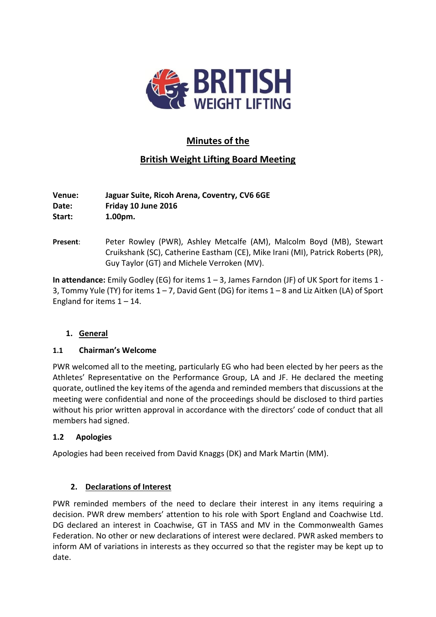

# **Minutes of the**

# **British Weight Lifting Board Meeting**

**Venue: Jaguar Suite, Ricoh Arena, Coventry, CV6 6GE Date: Friday 10 June 2016 Start: 1.00pm.**

**Present**: Peter Rowley (PWR), Ashley Metcalfe (AM), Malcolm Boyd (MB), Stewart Cruikshank (SC), Catherine Eastham (CE), Mike Irani (MI), Patrick Roberts (PR), Guy Taylor (GT) and Michele Verroken (MV).

**In attendance:** Emily Godley (EG) for items 1 – 3, James Farndon (JF) of UK Sport for items 1 - 3, Tommy Yule (TY) for items 1 – 7, David Gent (DG) for items 1 – 8 and Liz Aitken (LA) of Sport England for items  $1 - 14$ .

# **1. General**

#### **1.1 Chairman's Welcome**

PWR welcomed all to the meeting, particularly EG who had been elected by her peers as the Athletes' Representative on the Performance Group, LA and JF. He declared the meeting quorate, outlined the key items of the agenda and reminded members that discussions at the meeting were confidential and none of the proceedings should be disclosed to third parties without his prior written approval in accordance with the directors' code of conduct that all members had signed.

# **1.2 Apologies**

Apologies had been received from David Knaggs (DK) and Mark Martin (MM).

# **2. Declarations of Interest**

PWR reminded members of the need to declare their interest in any items requiring a decision. PWR drew members' attention to his role with Sport England and Coachwise Ltd. DG declared an interest in Coachwise, GT in TASS and MV in the Commonwealth Games Federation. No other or new declarations of interest were declared. PWR asked members to inform AM of variations in interests as they occurred so that the register may be kept up to date.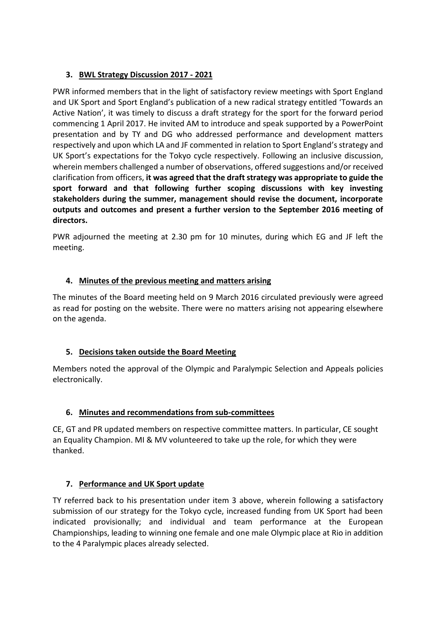# **3. BWL Strategy Discussion 2017 - 2021**

PWR informed members that in the light of satisfactory review meetings with Sport England and UK Sport and Sport England's publication of a new radical strategy entitled 'Towards an Active Nation', it was timely to discuss a draft strategy for the sport for the forward period commencing 1 April 2017. He invited AM to introduce and speak supported by a PowerPoint presentation and by TY and DG who addressed performance and development matters respectively and upon which LA and JF commented in relation to Sport England's strategy and UK Sport's expectations for the Tokyo cycle respectively. Following an inclusive discussion, wherein members challenged a number of observations, offered suggestions and/or received clarification from officers, **it was agreed that the draft strategy was appropriate to guide the sport forward and that following further scoping discussions with key investing stakeholders during the summer, management should revise the document, incorporate outputs and outcomes and present a further version to the September 2016 meeting of directors.**

PWR adjourned the meeting at 2.30 pm for 10 minutes, during which EG and JF left the meeting.

## **4. Minutes of the previous meeting and matters arising**

The minutes of the Board meeting held on 9 March 2016 circulated previously were agreed as read for posting on the website. There were no matters arising not appearing elsewhere on the agenda.

#### **5. Decisions taken outside the Board Meeting**

Members noted the approval of the Olympic and Paralympic Selection and Appeals policies electronically.

#### **6. Minutes and recommendations from sub-committees**

CE, GT and PR updated members on respective committee matters. In particular, CE sought an Equality Champion. MI & MV volunteered to take up the role, for which they were thanked.

# **7. Performance and UK Sport update**

TY referred back to his presentation under item 3 above, wherein following a satisfactory submission of our strategy for the Tokyo cycle, increased funding from UK Sport had been indicated provisionally; and individual and team performance at the European Championships, leading to winning one female and one male Olympic place at Rio in addition to the 4 Paralympic places already selected.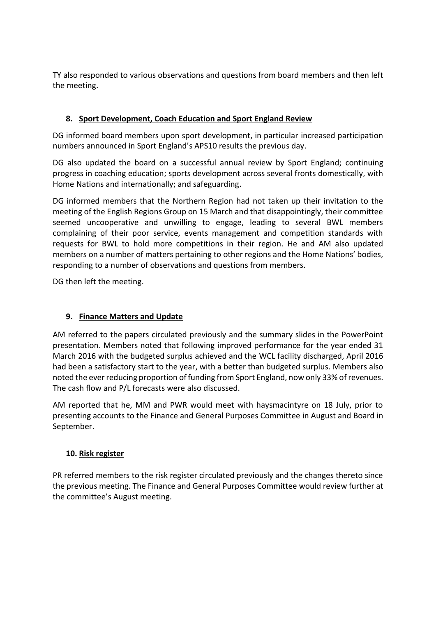TY also responded to various observations and questions from board members and then left the meeting.

# **8. Sport Development, Coach Education and Sport England Review**

DG informed board members upon sport development, in particular increased participation numbers announced in Sport England's APS10 results the previous day.

DG also updated the board on a successful annual review by Sport England; continuing progress in coaching education; sports development across several fronts domestically, with Home Nations and internationally; and safeguarding.

DG informed members that the Northern Region had not taken up their invitation to the meeting of the English Regions Group on 15 March and that disappointingly, their committee seemed uncooperative and unwilling to engage, leading to several BWL members complaining of their poor service, events management and competition standards with requests for BWL to hold more competitions in their region. He and AM also updated members on a number of matters pertaining to other regions and the Home Nations' bodies, responding to a number of observations and questions from members.

DG then left the meeting.

# **9. Finance Matters and Update**

AM referred to the papers circulated previously and the summary slides in the PowerPoint presentation. Members noted that following improved performance for the year ended 31 March 2016 with the budgeted surplus achieved and the WCL facility discharged, April 2016 had been a satisfactory start to the year, with a better than budgeted surplus. Members also noted the ever reducing proportion of funding from Sport England, now only 33% of revenues. The cash flow and P/L forecasts were also discussed.

AM reported that he, MM and PWR would meet with haysmacintyre on 18 July, prior to presenting accounts to the Finance and General Purposes Committee in August and Board in September.

# **10. Risk register**

PR referred members to the risk register circulated previously and the changes thereto since the previous meeting. The Finance and General Purposes Committee would review further at the committee's August meeting.